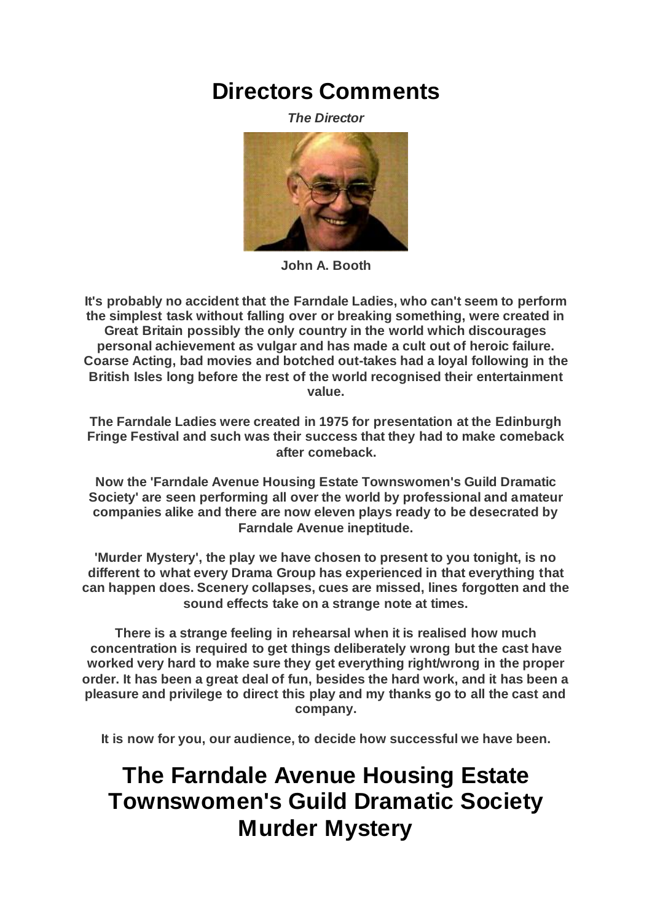## **Directors Comments**

*The Director*



**John A. Booth**

**It's probably no accident that the Farndale Ladies, who can't seem to perform the simplest task without falling over or breaking something, were created in Great Britain possibly the only country in the world which discourages personal achievement as vulgar and has made a cult out of heroic failure. Coarse Acting, bad movies and botched out-takes had a loyal following in the British Isles long before the rest of the world recognised their entertainment value.**

**The Farndale Ladies were created in 1975 for presentation at the Edinburgh Fringe Festival and such was their success that they had to make comeback after comeback.**

**Now the 'Farndale Avenue Housing Estate Townswomen's Guild Dramatic Society' are seen performing all over the world by professional and amateur companies alike and there are now eleven plays ready to be desecrated by Farndale Avenue ineptitude.**

**'Murder Mystery', the play we have chosen to present to you tonight, is no different to what every Drama Group has experienced in that everything that can happen does. Scenery collapses, cues are missed, lines forgotten and the sound effects take on a strange note at times.**

**There is a strange feeling in rehearsal when it is realised how much concentration is required to get things deliberately wrong but the cast have worked very hard to make sure they get everything right/wrong in the proper order. It has been a great deal of fun, besides the hard work, and it has been a pleasure and privilege to direct this play and my thanks go to all the cast and company.**

**It is now for you, our audience, to decide how successful we have been.**

## **The Farndale Avenue Housing Estate Townswomen's Guild Dramatic Society Murder Mystery**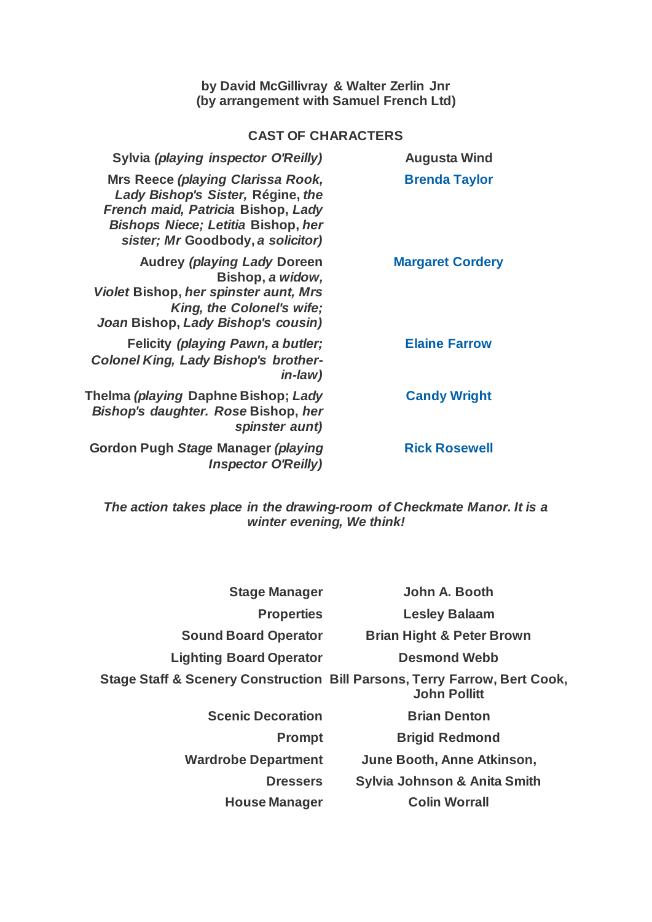## **by David McGillivray & Walter Zerlin Jnr (by arrangement with Samuel French Ltd)**

## **CAST OF CHARACTERS**

| <b>Augusta Wind</b>     | Sylvia (playing inspector O'Reilly)                                                                                                                                                                   |
|-------------------------|-------------------------------------------------------------------------------------------------------------------------------------------------------------------------------------------------------|
| <b>Brenda Taylor</b>    | <b>Mrs Reece (playing Clarissa Rook,</b><br>Lady Bishop's Sister, Régine, the<br>French maid, Patricia Bishop, Lady<br><b>Bishops Niece; Letitia Bishop, her</b><br>sister; Mr Goodbody, a solicitor) |
| <b>Margaret Cordery</b> | <b>Audrey (playing Lady Doreen</b><br>Bishop, a widow,<br>Violet Bishop, her spinster aunt, Mrs<br>King, the Colonel's wife;<br>Joan Bishop, Lady Bishop's cousin)                                    |
| <b>Elaine Farrow</b>    | Felicity (playing Pawn, a butler;<br><b>Colonel King, Lady Bishop's brother-</b><br><i>in-law</i> )                                                                                                   |
| <b>Candy Wright</b>     | Thelma <i>(playing</i> Daphne Bishop; <i>Lady</i><br>Bishop's daughter. Rose Bishop, her<br>spinster aunt)                                                                                            |
| <b>Rick Rosewell</b>    | Gordon Pugh Stage Manager (playing<br><b>Inspector O'Reilly)</b>                                                                                                                                      |
|                         |                                                                                                                                                                                                       |

*The action takes place in the drawing-room of Checkmate Manor. It is a winter evening, We think!*

| <b>Stage Manager</b>           | John A. Booth                                                                                    |
|--------------------------------|--------------------------------------------------------------------------------------------------|
| <b>Properties</b>              | <b>Lesley Balaam</b>                                                                             |
| <b>Sound Board Operator</b>    | <b>Brian Hight &amp; Peter Brown</b>                                                             |
| <b>Lighting Board Operator</b> | <b>Desmond Webb</b>                                                                              |
|                                | Stage Staff & Scenery Construction Bill Parsons, Terry Farrow, Bert Cook,<br><b>John Pollitt</b> |
| <b>Scenic Decoration</b>       | <b>Brian Denton</b>                                                                              |
| <b>Prompt</b>                  | <b>Brigid Redmond</b>                                                                            |
| <b>Wardrobe Department</b>     | June Booth, Anne Atkinson,                                                                       |
| <b>Dressers</b>                | Sylvia Johnson & Anita Smith                                                                     |
| <b>House Manager</b>           | <b>Colin Worrall</b>                                                                             |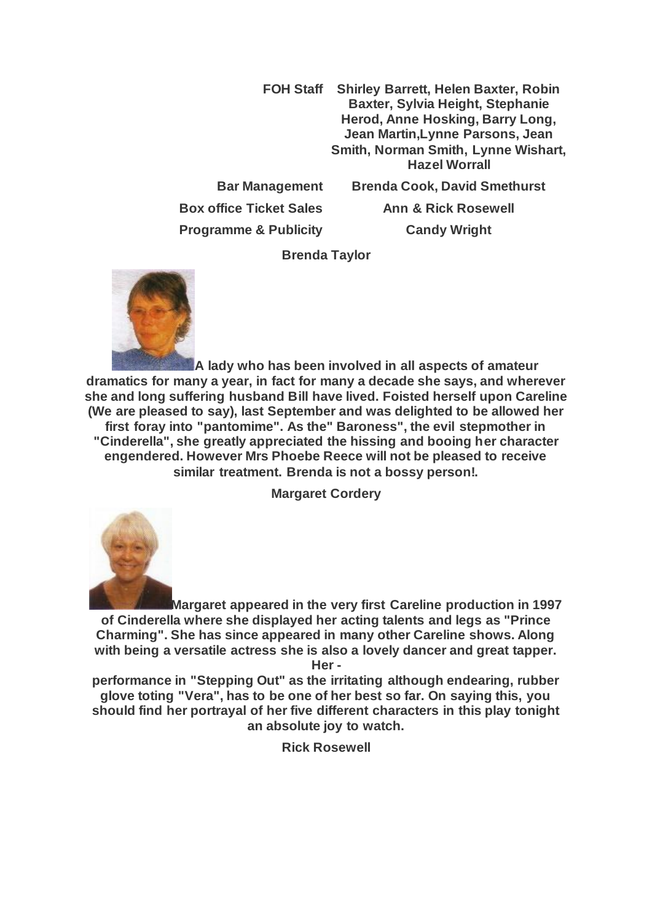**FOH Staff Shirley Barrett, Helen Baxter, Robin Baxter, Sylvia Height, Stephanie Herod, Anne Hosking, Barry Long, Jean Martin,Lynne Parsons, Jean Smith, Norman Smith, Lynne Wishart, Hazel Worrall Bar Management Brenda Cook, David Smethurst**

**Box office Ticket Sales Ann & Rick Rosewell Programme & Publicity Candy Wright**

**Brenda Taylor**



**A lady who has been involved in all aspects of amateur dramatics for many a year, in fact for many a decade she says, and wherever she and long suffering husband Bill have lived. Foisted herself upon Careline (We are pleased to say), last September and was delighted to be allowed her first foray into "pantomime". As the" Baroness", the evil stepmother in "Cinderella", she greatly appreciated the hissing and booing her character engendered. However Mrs Phoebe Reece will not be pleased to receive similar treatment. Brenda is not a bossy person!.**

**Margaret Cordery**



**Margaret appeared in the very first Careline production in 1997 of Cinderella where she displayed her acting talents and legs as "Prince Charming". She has since appeared in many other Careline shows. Along with being a versatile actress she is also a lovely dancer and great tapper. Her -**

**performance in "Stepping Out" as the irritating although endearing, rubber glove toting "Vera", has to be one of her best so far. On saying this, you should find her portrayal of her five different characters in this play tonight an absolute joy to watch.**

**Rick Rosewell**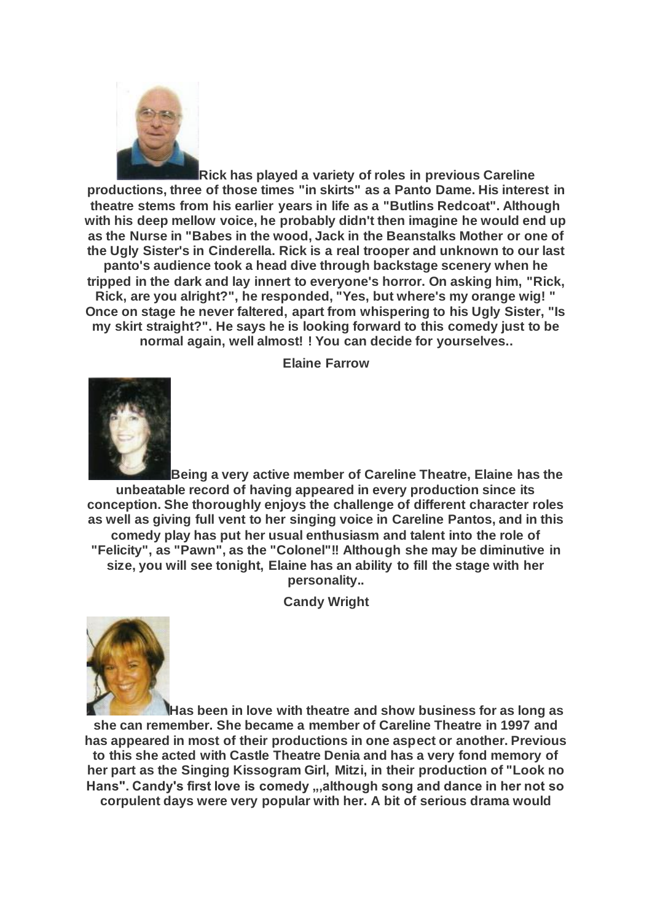

**Rick has played a variety of roles in previous Careline productions, three of those times "in skirts" as a Panto Dame. His interest in theatre stems from his earlier years in life as a "Butlins Redcoat". Although with his deep mellow voice, he probably didn't then imagine he would end up as the Nurse in "Babes in the wood, Jack in the Beanstalks Mother or one of the Ugly Sister's in Cinderella. Rick is a real trooper and unknown to our last panto's audience took a head dive through backstage scenery when he tripped in the dark and lay innert to everyone's horror. On asking him, "Rick, Rick, are you alright?", he responded, "Yes, but where's my orange wig! " Once on stage he never faltered, apart from whispering to his Ugly Sister, "Is my skirt straight?". He says he is looking forward to this comedy just to be normal again, well almost! ! You can decide for yourselves..**

**Elaine Farrow**



**Being a very active member of Careline Theatre, Elaine has the unbeatable record of having appeared in every production since its conception. She thoroughly enjoys the challenge of different character roles as well as giving full vent to her singing voice in Careline Pantos, and in this comedy play has put her usual enthusiasm and talent into the role of "Felicity", as "Pawn", as the "Colonel"!! Although she may be diminutive in size, you will see tonight, Elaine has an ability to fill the stage with her personality..**

**Candy Wright**



**Has been in love with theatre and show business for as long as she can remember. She became a member of Careline Theatre in 1997 and has appeared in most of their productions in one aspect or another. Previous to this she acted with Castle Theatre Denia and has a very fond memory of her part as the Singing Kissogram Girl, Mitzi, in their production of "Look no**  Hans". Candy's first love is comedy ,,,although song and dance in her not so **corpulent days were very popular with her. A bit of serious drama would**